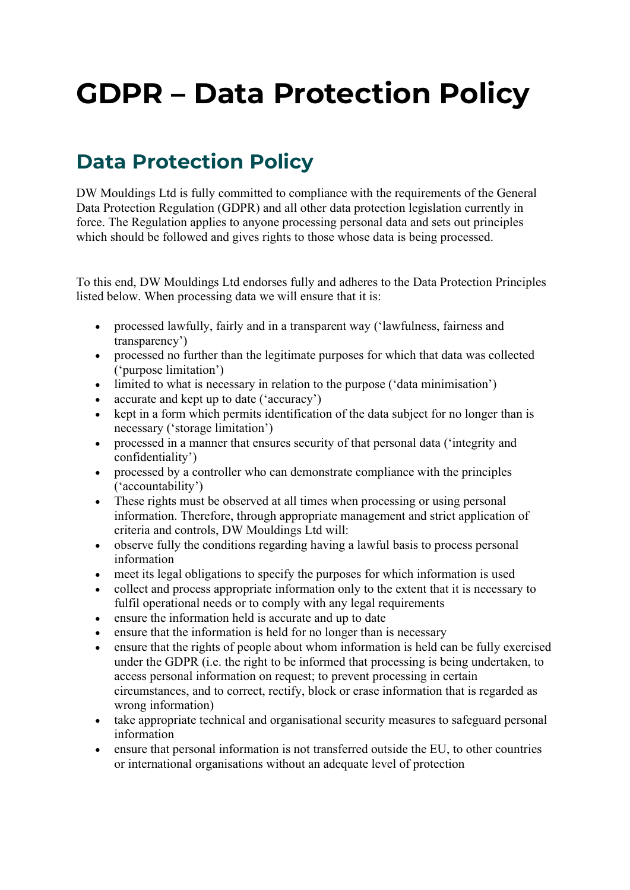# GDPR – Data Protection Policy

## Data Protection Policy

DW Mouldings Ltd is fully committed to compliance with the requirements of the General Data Protection Regulation (GDPR) and all other data protection legislation currently in force. The Regulation applies to anyone processing personal data and sets out principles which should be followed and gives rights to those whose data is being processed.

To this end, DW Mouldings Ltd endorses fully and adheres to the Data Protection Principles listed below. When processing data we will ensure that it is:

- processed lawfully, fairly and in a transparent way ('lawfulness, fairness and transparency')
- processed no further than the legitimate purposes for which that data was collected ('purpose limitation')
- limited to what is necessary in relation to the purpose ('data minimisation')
- accurate and kept up to date ('accuracy')
- kept in a form which permits identification of the data subject for no longer than is necessary ('storage limitation')
- processed in a manner that ensures security of that personal data ('integrity and confidentiality')
- processed by a controller who can demonstrate compliance with the principles ('accountability')
- These rights must be observed at all times when processing or using personal information. Therefore, through appropriate management and strict application of criteria and controls, DW Mouldings Ltd will:
- observe fully the conditions regarding having a lawful basis to process personal information
- meet its legal obligations to specify the purposes for which information is used
- collect and process appropriate information only to the extent that it is necessary to fulfil operational needs or to comply with any legal requirements
- ensure the information held is accurate and up to date
- ensure that the information is held for no longer than is necessary
- ensure that the rights of people about whom information is held can be fully exercised under the GDPR (i.e. the right to be informed that processing is being undertaken, to access personal information on request; to prevent processing in certain circumstances, and to correct, rectify, block or erase information that is regarded as wrong information)
- take appropriate technical and organisational security measures to safeguard personal information
- ensure that personal information is not transferred outside the EU, to other countries or international organisations without an adequate level of protection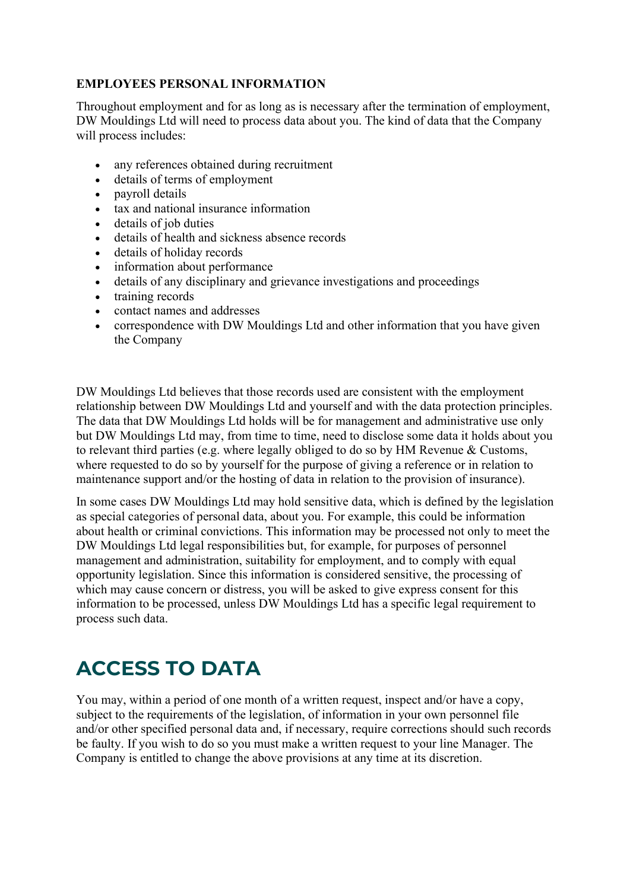#### EMPLOYEES PERSONAL INFORMATION

Throughout employment and for as long as is necessary after the termination of employment, DW Mouldings Ltd will need to process data about you. The kind of data that the Company will process includes:

- any references obtained during recruitment
- details of terms of employment
- payroll details
- tax and national insurance information
- details of job duties
- details of health and sickness absence records
- details of holiday records
- information about performance
- details of any disciplinary and grievance investigations and proceedings
- training records
- contact names and addresses
- correspondence with DW Mouldings Ltd and other information that you have given the Company

DW Mouldings Ltd believes that those records used are consistent with the employment relationship between DW Mouldings Ltd and yourself and with the data protection principles. The data that DW Mouldings Ltd holds will be for management and administrative use only but DW Mouldings Ltd may, from time to time, need to disclose some data it holds about you to relevant third parties (e.g. where legally obliged to do so by HM Revenue & Customs, where requested to do so by yourself for the purpose of giving a reference or in relation to maintenance support and/or the hosting of data in relation to the provision of insurance).

In some cases DW Mouldings Ltd may hold sensitive data, which is defined by the legislation as special categories of personal data, about you. For example, this could be information about health or criminal convictions. This information may be processed not only to meet the DW Mouldings Ltd legal responsibilities but, for example, for purposes of personnel management and administration, suitability for employment, and to comply with equal opportunity legislation. Since this information is considered sensitive, the processing of which may cause concern or distress, you will be asked to give express consent for this information to be processed, unless DW Mouldings Ltd has a specific legal requirement to process such data.

### ACCESS TO DATA

You may, within a period of one month of a written request, inspect and/or have a copy, subject to the requirements of the legislation, of information in your own personnel file and/or other specified personal data and, if necessary, require corrections should such records be faulty. If you wish to do so you must make a written request to your line Manager. The Company is entitled to change the above provisions at any time at its discretion.